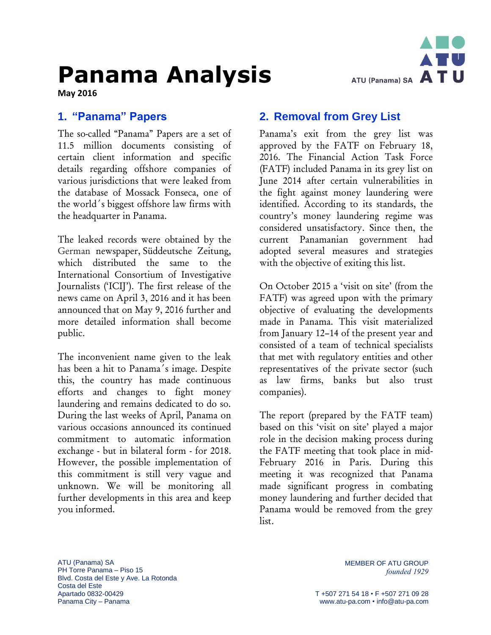# **Panama Analysis**



**May 2016**

#### **1. "Panama" Papers**

The so-called "Panama" Papers are a set of 11.5 million documents consisting of certain client information and specific details regarding offshore companies of various jurisdictions that were leaked from the database of Mossack Fonseca, one of the world´s biggest offshore law firms with the headquarter in Panama.

The leaked records were obtained by the German newspaper, [Süddeutsche](https://en.wikipedia.org/wiki/S%C3%BCddeutsche_Zeitung) Zeitung, which distributed the same to the International Consortium of Investigative Journalists ('ICIJ'). The first release of the news came on April 3, 2016 and it has been announced that on May 9, 2016 further and more detailed information shall become public.

The inconvenient name given to the leak has been a hit to Panama´s image. Despite this, the country has made continuous efforts and changes to fight money laundering and remains dedicated to do so. During the last weeks of April, Panama on various occasions announced its continued commitment to automatic information exchange - but in bilateral form - for 2018. However, the possible implementation of this commitment is still very vague and unknown. We will be monitoring all further developments in this area and keep you informed.

#### **2. Removal from Grey List**

Panama's exit from the grey list was approved by the FATF on February 18, 2016. The Financial Action Task Force (FATF) included Panama in its grey list on June 2014 after certain vulnerabilities in the fight against money laundering were identified. According to its standards, the country's money laundering regime was considered unsatisfactory. Since then, the current Panamanian government had adopted several measures and strategies with the objective of exiting this list.

On October 2015 a 'visit on site' (from the FATF) was agreed upon with the primary objective of evaluating the developments made in Panama. This visit materialized from January 12–14 of the present year and consisted of a team of technical specialists that met with regulatory entities and other representatives of the private sector (such as law firms, banks but also trust companies).

The report (prepared by the FATF team) based on this 'visit on site' played a major role in the decision making process during the FATF meeting that took place in mid-February 2016 in Paris. During this meeting it was recognized that Panama made significant progress in combating money laundering and further decided that Panama would be removed from the grey list.

ATU (Panama) SA PH Torre Panama – Piso 15 Blvd. Costa del Este y Ave. La Rotonda Costa del Este Apartado 0832-00429 Panama City – Panama

MEMBER OF ATU GROUP *founded 1929*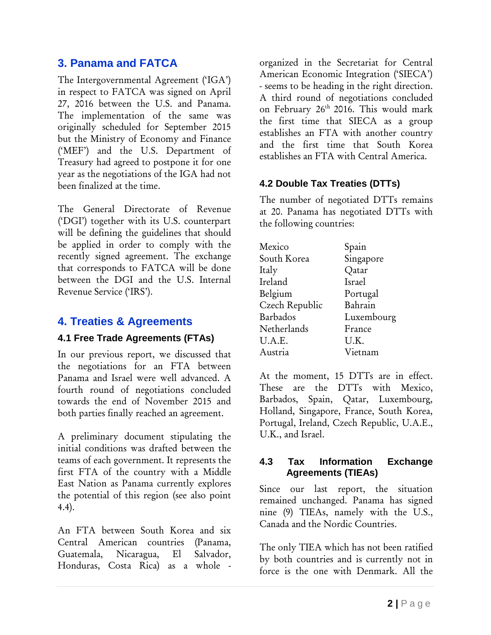## **3. Panama and FATCA**

The Intergovernmental Agreement ('IGA') in respect to FATCA was signed on April 27, 2016 between the U.S. and Panama. The implementation of the same was originally scheduled for September 2015 but the Ministry of Economy and Finance ('MEF') and the U.S. Department of Treasury had agreed to postpone it for one year as the negotiations of the IGA had not been finalized at the time.

The General Directorate of Revenue ('DGI') together with its U.S. counterpart will be defining the guidelines that should be applied in order to comply with the recently signed agreement. The exchange that corresponds to FATCA will be done between the DGI and the U.S. Internal Revenue Service ('IRS').

## **4. Treaties & Agreements**

#### **4.1 Free Trade Agreements (FTAs)**

In our previous report, we discussed that the negotiations for an FTA between Panama and Israel were well advanced. A fourth round of negotiations concluded towards the end of November 2015 and both parties finally reached an agreement.

A preliminary document stipulating the initial conditions was drafted between the teams of each government. It represents the first FTA of the country with a Middle East Nation as Panama currently explores the potential of this region (see also point 4.4).

An FTA between South Korea and six Central American countries (Panama, Guatemala, Nicaragua, El Salvador, Honduras, Costa Rica) as a whole -

organized in the Secretariat for Central American Economic Integration ('SIECA') - seems to be heading in the right direction. A third round of negotiations concluded on February 26<sup>th</sup> 2016. This would mark the first time that SIECA as a group establishes an FTA with another country and the first time that South Korea establishes an FTA with Central America.

#### **4.2 Double Tax Treaties (DTTs)**

The number of negotiated DTTs remains at 20. Panama has negotiated DTTs with the following countries:

| Mexico         | Spain      |
|----------------|------------|
| South Korea    | Singapore  |
| Italy          | Qatar      |
| Ireland        | Israel     |
| Belgium        | Portugal   |
| Czech Republic | Bahrain    |
| Barbados       | Luxembourg |
| Netherlands    | France     |
| U.A.E.         | U.K.       |
| Austria        | Vietnam    |

At the moment, 15 DTTs are in effect. These are the DTTs with Mexico, Barbados, Spain, Qatar, Luxembourg, Holland, Singapore, France, South Korea, Portugal, Ireland, Czech Republic, U.A.E., U.K., and Israel.

#### **4.3 Tax Information Exchange Agreements (TIEAs)**

Since our last report, the situation remained unchanged. Panama has signed nine (9) TIEAs, namely with the U.S., Canada and the Nordic Countries.

The only TIEA which has not been ratified by both countries and is currently not in force is the one with Denmark. All the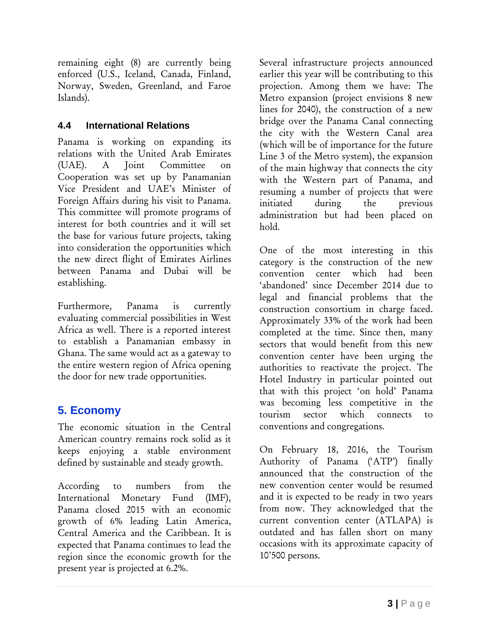remaining eight (8) are currently being enforced (U.S., Iceland, Canada, Finland, Norway, Sweden, Greenland, and Faroe Islands).

#### **4.4 International Relations**

Panama is working on expanding its relations with the United Arab Emirates (UAE). A Joint Committee on Cooperation was set up by Panamanian Vice President and UAE's Minister of Foreign Affairs during his visit to Panama. This committee will promote programs of interest for both countries and it will set the base for various future projects, taking into consideration the opportunities which the new direct flight of Emirates Airlines between Panama and Dubai will be establishing.

Furthermore, Panama is currently evaluating commercial possibilities in West Africa as well. There is a reported interest to establish a Panamanian embassy in Ghana. The same would act as a gateway to the entire western region of Africa opening the door for new trade opportunities.

# **5. Economy**

The economic situation in the Central American country remains rock solid as it keeps enjoying a stable environment defined by sustainable and steady growth.

According to numbers from the International Monetary Fund (IMF), Panama closed 2015 with an economic growth of 6% leading Latin America, Central America and the Caribbean. It is expected that Panama continues to lead the region since the economic growth for the present year is projected at 6.2%.

Several infrastructure projects announced earlier this year will be contributing to this projection. Among them we have: The Metro expansion (project envisions 8 new lines for 2040), the construction of a new bridge over the Panama Canal connecting the city with the Western Canal area (which will be of importance for the future Line 3 of the Metro system), the expansion of the main highway that connects the city with the Western part of Panama, and resuming a number of projects that were initiated during the previous administration but had been placed on hold.

One of the most interesting in this category is the construction of the new convention center which had been 'abandoned' since December 2014 due to legal and financial problems that the construction consortium in charge faced. Approximately 33% of the work had been completed at the time. Since then, many sectors that would benefit from this new convention center have been urging the authorities to reactivate the project. The Hotel Industry in particular pointed out that with this project 'on hold' Panama was becoming less competitive in the tourism sector which connects to conventions and congregations.

On February 18, 2016, the Tourism Authority of Panama ('ATP') finally announced that the construction of the new convention center would be resumed and it is expected to be ready in two years from now. They acknowledged that the current convention center (ATLAPA) is outdated and has fallen short on many occasions with its approximate capacity of 10'500 persons.